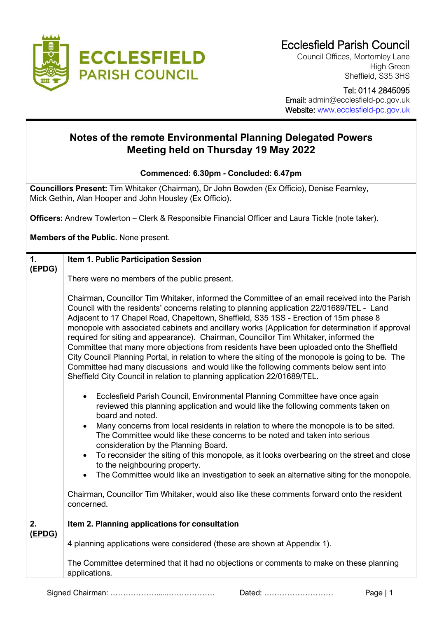

Council Offices, Mortomley Lane High Green Sheffield, S35 3HS

 Tel: 0114 2845095 Email: admin@ecclesfield-pc.gov.uk Website: [www.ecclesfield-pc.gov.uk](http://www.ecclesfield-pc.gov.uk/)

## **Notes of the remote Environmental Planning Delegated Powers Meeting held on Thursday 19 May 2022**

**Commenced: 6.30pm - Concluded: 6.47pm**

**Councillors Present:** Tim Whitaker (Chairman), Dr John Bowden (Ex Officio), Denise Fearnley, Mick Gethin, Alan Hooper and John Housley (Ex Officio).

**Officers:** Andrew Towlerton – Clerk & Responsible Financial Officer and Laura Tickle (note taker).

**Members of the Public.** None present.

| <u>1.</u> | <b>Item 1. Public Participation Session</b>                                                                                                                                                                                                                                                                                                                                                                                                                                                                                                                                                                                                                                                                                                                                                                                                          |
|-----------|------------------------------------------------------------------------------------------------------------------------------------------------------------------------------------------------------------------------------------------------------------------------------------------------------------------------------------------------------------------------------------------------------------------------------------------------------------------------------------------------------------------------------------------------------------------------------------------------------------------------------------------------------------------------------------------------------------------------------------------------------------------------------------------------------------------------------------------------------|
| (EPDG)    |                                                                                                                                                                                                                                                                                                                                                                                                                                                                                                                                                                                                                                                                                                                                                                                                                                                      |
|           | There were no members of the public present.                                                                                                                                                                                                                                                                                                                                                                                                                                                                                                                                                                                                                                                                                                                                                                                                         |
|           | Chairman, Councillor Tim Whitaker, informed the Committee of an email received into the Parish<br>Council with the residents' concerns relating to planning application 22/01689/TEL - Land<br>Adjacent to 17 Chapel Road, Chapeltown, Sheffield, S35 1SS - Erection of 15m phase 8<br>monopole with associated cabinets and ancillary works (Application for determination if approval<br>required for siting and appearance). Chairman, Councillor Tim Whitaker, informed the<br>Committee that many more objections from residents have been uploaded onto the Sheffield<br>City Council Planning Portal, in relation to where the siting of the monopole is going to be. The<br>Committee had many discussions and would like the following comments below sent into<br>Sheffield City Council in relation to planning application 22/01689/TEL. |
|           | Ecclesfield Parish Council, Environmental Planning Committee have once again<br>reviewed this planning application and would like the following comments taken on<br>board and noted.<br>Many concerns from local residents in relation to where the monopole is to be sited.<br>The Committee would like these concerns to be noted and taken into serious<br>consideration by the Planning Board.<br>To reconsider the siting of this monopole, as it looks overbearing on the street and close<br>$\bullet$<br>to the neighbouring property.<br>The Committee would like an investigation to seek an alternative siting for the monopole.<br>Chairman, Councillor Tim Whitaker, would also like these comments forward onto the resident<br>concerned.                                                                                            |
| 2.        | <b>Item 2. Planning applications for consultation</b>                                                                                                                                                                                                                                                                                                                                                                                                                                                                                                                                                                                                                                                                                                                                                                                                |
| (EPDG)    | 4 planning applications were considered (these are shown at Appendix 1).                                                                                                                                                                                                                                                                                                                                                                                                                                                                                                                                                                                                                                                                                                                                                                             |
|           | The Committee determined that it had no objections or comments to make on these planning<br>applications.                                                                                                                                                                                                                                                                                                                                                                                                                                                                                                                                                                                                                                                                                                                                            |

Signed Chairman: ……………….....………………. Dated: ……………………… Page | 1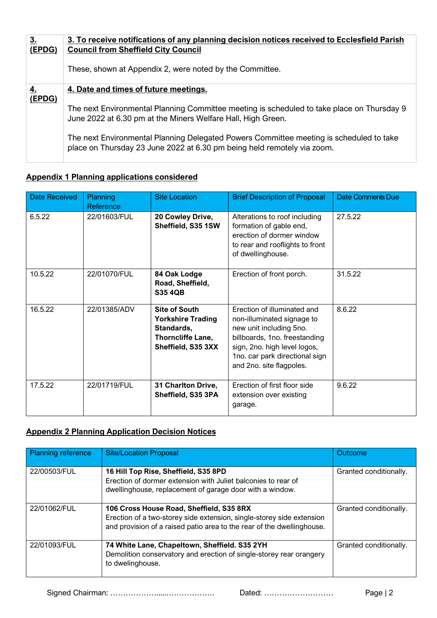| <u>3.</u><br>(EPDG) | 3. To receive notifications of any planning decision notices received to Ecclesfield Parish<br><b>Council from Sheffield City Council</b>                          |
|---------------------|--------------------------------------------------------------------------------------------------------------------------------------------------------------------|
|                     | These, shown at Appendix 2, were noted by the Committee.                                                                                                           |
| (EPDG)              | 4. Date and times of future meetings.                                                                                                                              |
|                     | The next Environmental Planning Committee meeting is scheduled to take place on Thursday 9<br>June 2022 at 6.30 pm at the Miners Welfare Hall, High Green.         |
|                     | The next Environmental Planning Delegated Powers Committee meeting is scheduled to take<br>place on Thursday 23 June 2022 at 6.30 pm being held remotely via zoom. |

## **Appendix 1 Planning applications considered**

| Date Received | Planning<br>Reference | <b>Site Location</b>                                                                                      | <b>Brief Description of Proposal</b>                                                                                                                                                                                | <b>Date Comments Due</b> |
|---------------|-----------------------|-----------------------------------------------------------------------------------------------------------|---------------------------------------------------------------------------------------------------------------------------------------------------------------------------------------------------------------------|--------------------------|
| 6.5.22        | 22/01603/FUL          | 20 Cowley Drive,<br>Sheffield, S35 1SW                                                                    | Alterations to roof including<br>formation of gable end,<br>erection of dormer window<br>to rear and rooflights to front<br>of dwellinghouse.                                                                       | 27.5.22                  |
| 10.5.22       | 22/01070/FUL          | 84 Oak Lodge<br>Road, Sheffield,<br><b>S35 4QB</b>                                                        | Erection of front porch.                                                                                                                                                                                            | 31.5.22                  |
| 16.5.22       | 22/01385/ADV          | <b>Site of South</b><br><b>Yorkshire Trading</b><br>Standards,<br>Thorncliffe Lane,<br>Sheffield, S35 3XX | Erection of illuminated and<br>non-illuminated signage to<br>new unit including 5no.<br>billboards, 1no. freestanding<br>sign, 2no. high level logos,<br>1no. car park directional sign<br>and 2no. site flagpoles. | 8.6.22                   |
| 17.5.22       | 22/01719/FUL          | 31 Charlton Drive,<br>Sheffield, S35 3PA                                                                  | Erection of first floor side<br>extension over existing<br>garage.                                                                                                                                                  | 9.6.22                   |

## **Appendix 2 Planning Application Decision Notices**

| <b>Planning reference</b> | <b>Site/Location Proposal</b>                                                                                                                                                               | <b>Outcome</b>         |
|---------------------------|---------------------------------------------------------------------------------------------------------------------------------------------------------------------------------------------|------------------------|
| 22/00503/FUL              | 16 Hill Top Rise, Sheffield, S35 8PD<br>Erection of dormer extension with Juliet balconies to rear of<br>dwellinghouse, replacement of garage door with a window.                           | Granted conditionally. |
| 22/01062/FUL              | 106 Cross House Road, Sheffield, S35 8RX<br>Erection of a two-storey side extension, single-storey side extension<br>and provision of a raised patio area to the rear of the dwellinghouse. | Granted conditionally. |
| 22/01093/FUL              | 74 White Lane, Chapeltown, Sheffield. S35 2YH<br>Demolition conservatory and erection of single-storey rear orangery<br>to dwelinghouse.                                                    | Granted conditionally. |

Signed Chairman: ……………….....………………. Dated: ……………………… Page | 2